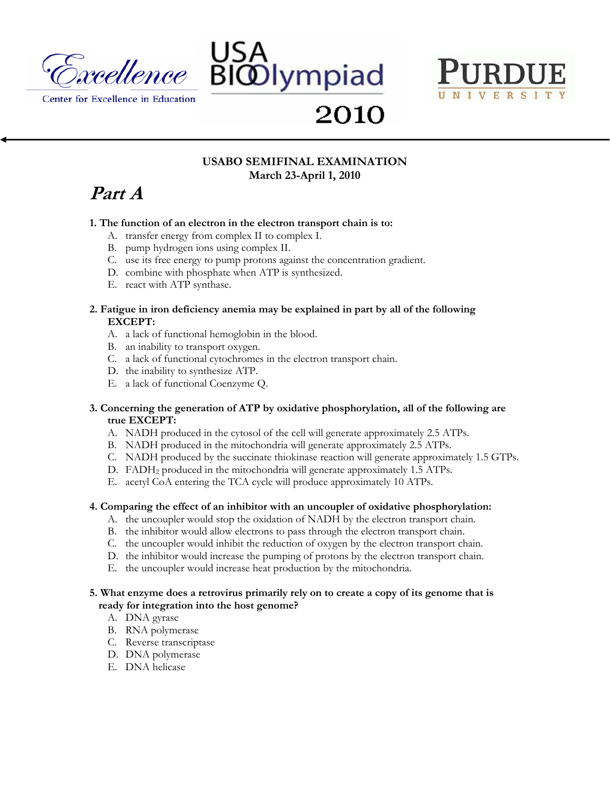





2010

# **USABO SEMIFINAL EXAMINATION March 23-April 1, 2010**

# **Part A**

## **1. The function of an electron in the electron transport chain is to:**

- A. transfer energy from complex II to complex I.
- B. pump hydrogen ions using complex II.
- C. use its free energy to pump protons against the concentration gradient.
- D. combine with phosphate when ATP is synthesized.
- E. react with ATP synthase.

## **2. Fatigue in iron deficiency anemia may be explained in part by all of the following EXCEPT:**

- A. a lack of functional hemoglobin in the blood.
- B. an inability to transport oxygen.
- C. a lack of functional cytochromes in the electron transport chain.
- D. the inability to synthesize ATP.
- E. a lack of functional Coenzyme Q.

## **3. Concerning the generation of ATP by oxidative phosphorylation, all of the following are true EXCEPT:**

- A. NADH produced in the cytosol of the cell will generate approximately 2.5 ATPs.
- B. NADH produced in the mitochondria will generate approximately 2.5 ATPs.
- C. NADH produced by the succinate thiokinase reaction will generate approximately 1.5 GTPs.
- D. FADH2 produced in the mitochondria will generate approximately 1.5 ATPs.
- E. acetyl CoA entering the TCA cycle will produce approximately 10 ATPs.

# **4. Comparing the effect of an inhibitor with an uncoupler of oxidative phosphorylation:**

- A. the uncoupler would stop the oxidation of NADH by the electron transport chain.
- B. the inhibitor would allow electrons to pass through the electron transport chain.
- C. the uncoupler would inhibit the reduction of oxygen by the electron transport chain.
- D. the inhibitor would increase the pumping of protons by the electron transport chain.
- E. the uncoupler would increase heat production by the mitochondria.

## **5. What enzyme does a retrovirus primarily rely on to create a copy of its genome that is ready for integration into the host genome?**

- A. DNA gyrase
- B. RNA polymerase
- C. Reverse transcriptase
- D. DNA polymerase
- E. DNA helicase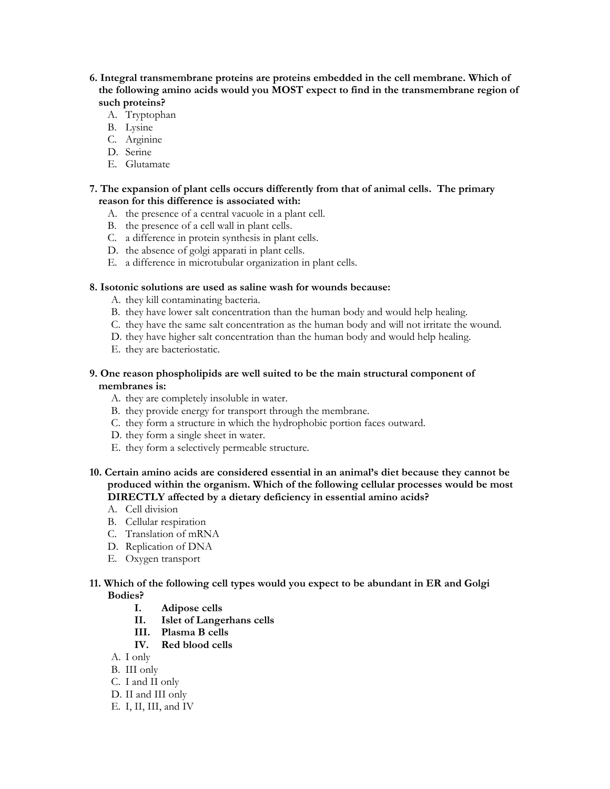## **6. Integral transmembrane proteins are proteins embedded in the cell membrane. Which of the following amino acids would you MOST expect to find in the transmembrane region of such proteins?**

- A. Tryptophan
- B. Lysine
- C. Arginine
- D. Serine
- E. Glutamate

## **7. The expansion of plant cells occurs differently from that of animal cells. The primary reason for this difference is associated with:**

- A. the presence of a central vacuole in a plant cell.
- B. the presence of a cell wall in plant cells.
- C. a difference in protein synthesis in plant cells.
- D. the absence of golgi apparati in plant cells.
- E. a difference in microtubular organization in plant cells.

## **8. Isotonic solutions are used as saline wash for wounds because:**

- A. they kill contaminating bacteria.
- B. they have lower salt concentration than the human body and would help healing.
- C. they have the same salt concentration as the human body and will not irritate the wound.
- D. they have higher salt concentration than the human body and would help healing.
- E. they are bacteriostatic.

## **9. One reason phospholipids are well suited to be the main structural component of membranes is:**

- A. they are completely insoluble in water.
- B. they provide energy for transport through the membrane.
- C. they form a structure in which the hydrophobic portion faces outward.
- D. they form a single sheet in water.
- E. they form a selectively permeable structure.
- **10. Certain amino acids are considered essential in an animal's diet because they cannot be produced within the organism. Which of the following cellular processes would be most DIRECTLY affected by a dietary deficiency in essential amino acids?** 
	- A. Cell division
	- B. Cellular respiration
	- C. Translation of mRNA
	- D. Replication of DNA
	- E. Oxygen transport

## **11. Which of the following cell types would you expect to be abundant in ER and Golgi Bodies?**

- **I. Adipose cells**
- **II. Islet of Langerhans cells**
- **III. Plasma B cells**
- **IV. Red blood cells**
- A. I only
- B. III only
- C. I and II only
- D. II and III only
- E. I, II, III, and IV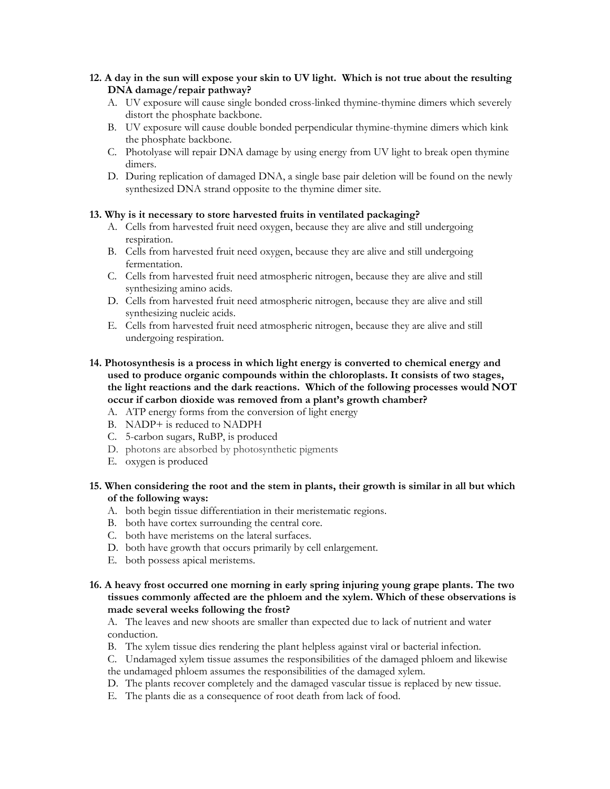## **12. A day in the sun will expose your skin to UV light. Which is not true about the resulting DNA damage/repair pathway?**

- A. UV exposure will cause single bonded cross-linked thymine-thymine dimers which severely distort the phosphate backbone.
- B. UV exposure will cause double bonded perpendicular thymine-thymine dimers which kink the phosphate backbone.
- C. Photolyase will repair DNA damage by using energy from UV light to break open thymine dimers.
- D. During replication of damaged DNA, a single base pair deletion will be found on the newly synthesized DNA strand opposite to the thymine dimer site.

## **13. Why is it necessary to store harvested fruits in ventilated packaging?**

- A. Cells from harvested fruit need oxygen, because they are alive and still undergoing respiration.
- B. Cells from harvested fruit need oxygen, because they are alive and still undergoing fermentation.
- C. Cells from harvested fruit need atmospheric nitrogen, because they are alive and still synthesizing amino acids.
- D. Cells from harvested fruit need atmospheric nitrogen, because they are alive and still synthesizing nucleic acids.
- E. Cells from harvested fruit need atmospheric nitrogen, because they are alive and still undergoing respiration.
- **14. Photosynthesis is a process in which light energy is converted to chemical energy and used to produce organic compounds within the chloroplasts. It consists of two stages, the light reactions and the dark reactions. Which of the following processes would NOT occur if carbon dioxide was removed from a plant's growth chamber?** 
	- A. ATP energy forms from the conversion of light energy
	- B. NADP+ is reduced to NADPH
	- C. 5-carbon sugars, RuBP, is produced
	- D. photons are absorbed by photosynthetic pigments
	- E. oxygen is produced
- **15. When considering the root and the stem in plants, their growth is similar in all but which of the following ways:** 
	- A. both begin tissue differentiation in their meristematic regions.
	- B. both have cortex surrounding the central core.
	- C. both have meristems on the lateral surfaces.
	- D. both have growth that occurs primarily by cell enlargement.
	- E. both possess apical meristems.
- **16. A heavy frost occurred one morning in early spring injuring young grape plants. The two tissues commonly affected are the phloem and the xylem. Which of these observations is made several weeks following the frost?**

A. The leaves and new shoots are smaller than expected due to lack of nutrient and water conduction.

- B. The xylem tissue dies rendering the plant helpless against viral or bacterial infection.
- C. Undamaged xylem tissue assumes the responsibilities of the damaged phloem and likewise
- the undamaged phloem assumes the responsibilities of the damaged xylem.
- D. The plants recover completely and the damaged vascular tissue is replaced by new tissue.
- E. The plants die as a consequence of root death from lack of food.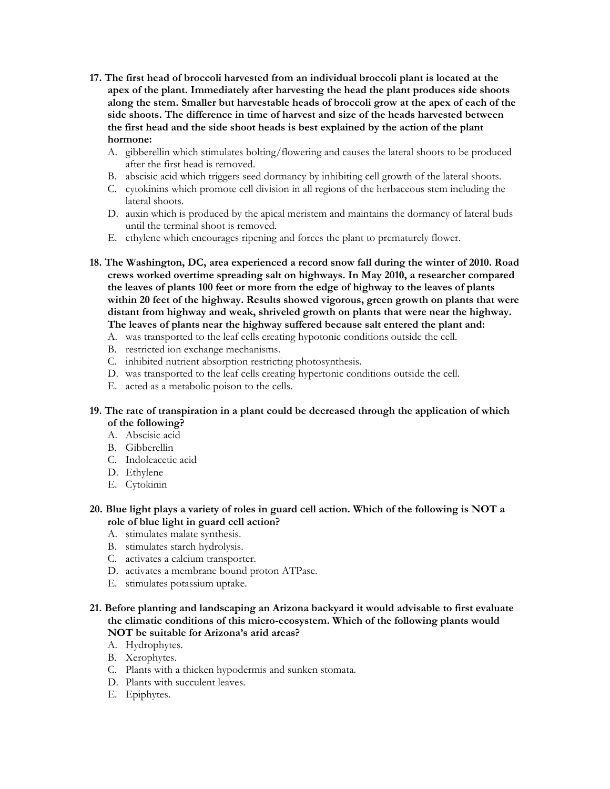- **17. The first head of broccoli harvested from an individual broccoli plant is located at the apex of the plant. Immediately after harvesting the head the plant produces side shoots along the stem. Smaller but harvestable heads of broccoli grow at the apex of each of the side shoots. The difference in time of harvest and size of the heads harvested between the first head and the side shoot heads is best explained by the action of the plant hormone:** 
	- A. gibberellin which stimulates bolting/flowering and causes the lateral shoots to be produced after the first head is removed.
	- B. abscisic acid which triggers seed dormancy by inhibiting cell growth of the lateral shoots.
	- C. cytokinins which promote cell division in all regions of the herbaceous stem including the lateral shoots.
	- D. auxin which is produced by the apical meristem and maintains the dormancy of lateral buds until the terminal shoot is removed.
	- E. ethylene which encourages ripening and forces the plant to prematurely flower.
- **18. The Washington, DC, area experienced a record snow fall during the winter of 2010. Road crews worked overtime spreading salt on highways. In May 2010, a researcher compared the leaves of plants 100 feet or more from the edge of highway to the leaves of plants within 20 feet of the highway. Results showed vigorous, green growth on plants that were distant from highway and weak, shriveled growth on plants that were near the highway. The leaves of plants near the highway suffered because salt entered the plant and:** 
	- A. was transported to the leaf cells creating hypotonic conditions outside the cell.
	- B. restricted ion exchange mechanisms.
	- C. inhibited nutrient absorption restricting photosynthesis.
	- D. was transported to the leaf cells creating hypertonic conditions outside the cell.
	- E. acted as a metabolic poison to the cells.
- **19. The rate of transpiration in a plant could be decreased through the application of which of the following?** 
	- A. Abscisic acid
	- B. Gibberellin
	- C. Indoleacetic acid
	- D. Ethylene
	- E. Cytokinin
- **20. Blue light plays a variety of roles in guard cell action. Which of the following is NOT a role of blue light in guard cell action?** 
	- A. stimulates malate synthesis.
	- B. stimulates starch hydrolysis.
	- C. activates a calcium transporter.
	- D. activates a membrane bound proton ATPase.
	- E. stimulates potassium uptake.
- **21. Before planting and landscaping an Arizona backyard it would advisable to first evaluate the climatic conditions of this micro-ecosystem. Which of the following plants would NOT be suitable for Arizona's arid areas?** 
	- A. Hydrophytes.
	- B. Xerophytes.
	- C. Plants with a thicken hypodermis and sunken stomata.
	- D. Plants with succulent leaves.
	- E. Epiphytes.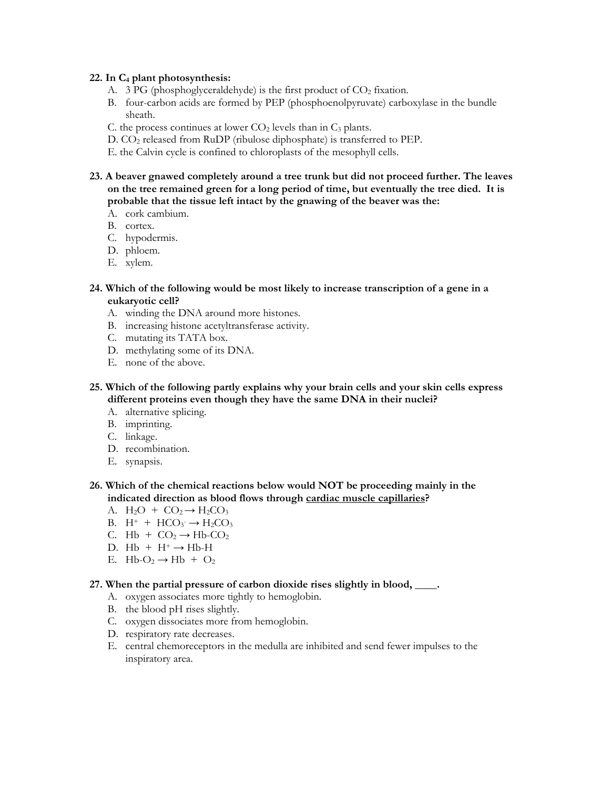#### **22. In C4 plant photosynthesis:**

- A. 3 PG (phosphoglyceraldehyde) is the first product of  $CO<sub>2</sub>$  fixation.
- B. four-carbon acids are formed by PEP (phosphoenolpyruvate) carboxylase in the bundle sheath.
- C. the process continues at lower  $CO<sub>2</sub>$  levels than in  $C<sub>3</sub>$  plants.
- D. CO<sub>2</sub> released from RuDP (ribulose diphosphate) is transferred to PEP.
- E. the Calvin cycle is confined to chloroplasts of the mesophyll cells.
- **23. A beaver gnawed completely around a tree trunk but did not proceed further. The leaves on the tree remained green for a long period of time, but eventually the tree died. It is probable that the tissue left intact by the gnawing of the beaver was the:** 
	- A. cork cambium.
	- B. cortex.
	- C. hypodermis.
	- D. phloem.
	- E. xylem.
- **24. Which of the following would be most likely to increase transcription of a gene in a eukaryotic cell?** 
	- A. winding the DNA around more histones.
	- B. increasing histone acetyltransferase activity.
	- C. mutating its TATA box.
	- D. methylating some of its DNA.
	- E. none of the above.
- **25. Which of the following partly explains why your brain cells and your skin cells express different proteins even though they have the same DNA in their nuclei?** 
	- A. alternative splicing.
	- B. imprinting.
	- C. linkage.
	- D. recombination.
	- E. synapsis.
- **26. Which of the chemical reactions below would NOT be proceeding mainly in the indicated direction as blood flows through cardiac muscle capillaries?** 
	- A.  $H_2O + CO_2 \rightarrow H_2CO_3$
	- B.  $H^+ + HCO_3 \rightarrow H_2CO_3$
	- C. Hb +  $CO_2 \rightarrow Hb$ - $CO_2$
	- D.  $Hb + H^+ \rightarrow Hb-H$
	- E. Hb- $O_2 \rightarrow Hb + O_2$

#### **27. When the partial pressure of carbon dioxide rises slightly in blood, \_\_\_\_.**

- A. oxygen associates more tightly to hemoglobin.
- B. the blood pH rises slightly.
- C. oxygen dissociates more from hemoglobin.
- D. respiratory rate decreases.
- E. central chemoreceptors in the medulla are inhibited and send fewer impulses to the inspiratory area.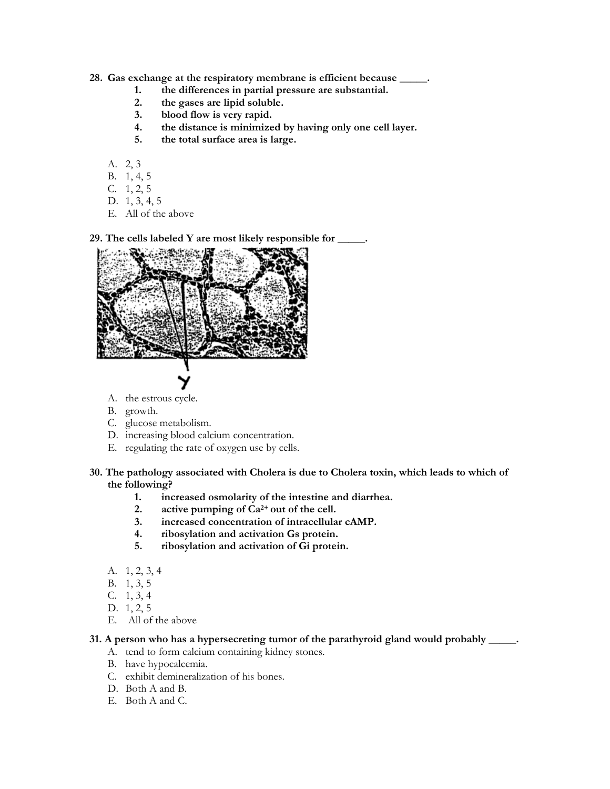#### **28. Gas exchange at the respiratory membrane is efficient because \_\_\_\_\_.**

- **1. the differences in partial pressure are substantial.**
- 2. the gases are lipid soluble.<br>3. blood flow is very rapid.
- **3. blood flow is very rapid.**
- **4. the distance is minimized by having only one cell layer.**
- **5. the total surface area is large.**
- A. 2, 3
- B. 1, 4, 5
- C. 1, 2, 5
- D. 1, 3, 4, 5
- E. All of the above

**29. The cells labeled Y are most likely responsible for \_\_\_\_\_.** 



- A. the estrous cycle.
- B. growth.
- C. glucose metabolism.
- D. increasing blood calcium concentration.
- E. regulating the rate of oxygen use by cells.
- **30. The pathology associated with Cholera is due to Cholera toxin, which leads to which of the following?** 
	- 1. increased osmolarity of the intestine and diarrhea.<br> **2.** active pumping of  $Ca^{2+}$  out of the cell.
	- **2. active pumping of Ca2+ out of the cell.**
	- **3. increased concentration of intracellular cAMP.**
	- **4. ribosylation and activation Gs protein.**
	- **5. ribosylation and activation of Gi protein.**
	- A. 1, 2, 3, 4
	- B. 1, 3, 5
	- C. 1, 3, 4
	- D. 1, 2, 5
	- E. All of the above

#### **31. A person who has a hypersecreting tumor of the parathyroid gland would probably \_\_\_\_\_.**

- A. tend to form calcium containing kidney stones.
- B. have hypocalcemia.
- C. exhibit demineralization of his bones.
- D. Both A and B.
- E. Both A and C.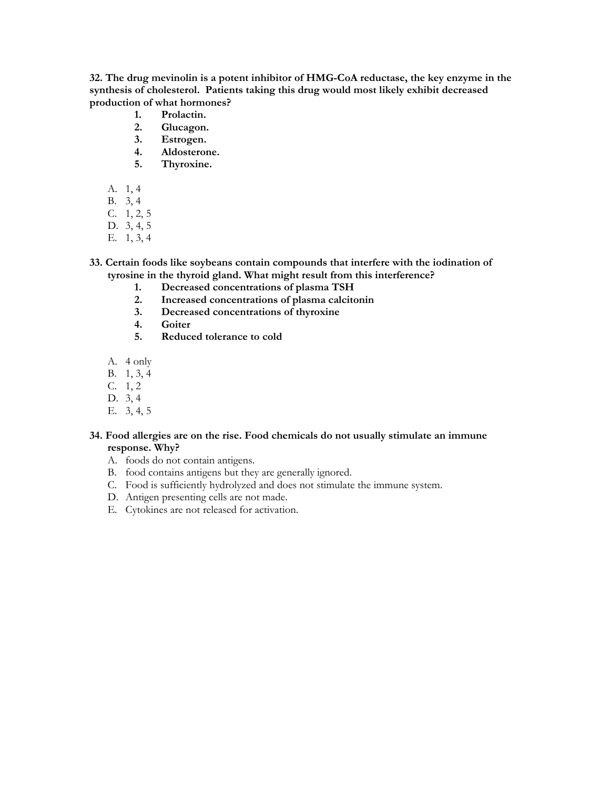**32. The drug mevinolin is a potent inhibitor of HMG-CoA reductase, the key enzyme in the synthesis of cholesterol. Patients taking this drug would most likely exhibit decreased production of what hormones?** 

- **1. Prolactin.**
- **2. Glucagon.**
- **3. Estrogen.**
- **4. Aldosterone.**
- **5. Thyroxine.**
- A. 1, 4
- B. 3, 4
- C. 1, 2, 5
- D. 3, 4, 5
- E. 1, 3, 4
- **33. Certain foods like soybeans contain compounds that interfere with the iodination of tyrosine in the thyroid gland. What might result from this interference?** 
	- **1. Decreased concentrations of plasma TSH**
	- **2. Increased concentrations of plasma calcitonin**
	- **3. Decreased concentrations of thyroxine**
	- **4. Goiter**
	- **5. Reduced tolerance to cold**
	- A. 4 only
	- B. 1, 3, 4
	- C. 1, 2
	- D. 3, 4
	- E. 3, 4, 5

## **34. Food allergies are on the rise. Food chemicals do not usually stimulate an immune response. Why?**

- A. foods do not contain antigens.
- B. food contains antigens but they are generally ignored.
- C. Food is sufficiently hydrolyzed and does not stimulate the immune system.
- D. Antigen presenting cells are not made.
- E. Cytokines are not released for activation.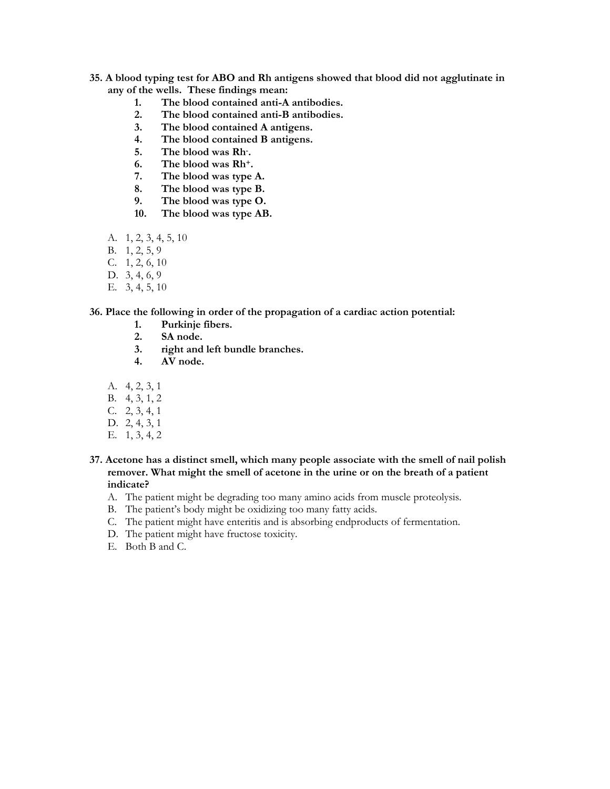- **35. A blood typing test for ABO and Rh antigens showed that blood did not agglutinate in any of the wells. These findings mean:** 
	- **1. The blood contained anti-A antibodies.**
	- **2. The blood contained anti-B antibodies.**
	- **3. The blood contained A antigens.**
	- **4. The blood contained B antigens.**
	- **5. The blood was Rh- .**
	- **6. The blood was Rh+.**
	- **7. The blood was type A.**
	- **8. The blood was type B.**
	- **9. The blood was type O.**
	- **10. The blood was type AB.**
	- A. 1, 2, 3, 4, 5, 10
	- B. 1, 2, 5, 9
	- C. 1, 2, 6, 10
	- D. 3, 4, 6, 9
	- E. 3, 4, 5, 10

#### **36. Place the following in order of the propagation of a cardiac action potential:**

- **1. Purkinje fibers.** 
	- **2. SA node.**
	- **3. right and left bundle branches.**
	- **4. AV node.**
- A. 4, 2, 3, 1
- B. 4, 3, 1, 2
- C. 2, 3, 4, 1
- D. 2, 4, 3, 1
- E. 1, 3, 4, 2
- **37. Acetone has a distinct smell, which many people associate with the smell of nail polish remover. What might the smell of acetone in the urine or on the breath of a patient indicate?** 
	- A. The patient might be degrading too many amino acids from muscle proteolysis.
	- B. The patient's body might be oxidizing too many fatty acids.
	- C. The patient might have enteritis and is absorbing endproducts of fermentation.
	- D. The patient might have fructose toxicity.
	- E. Both B and C.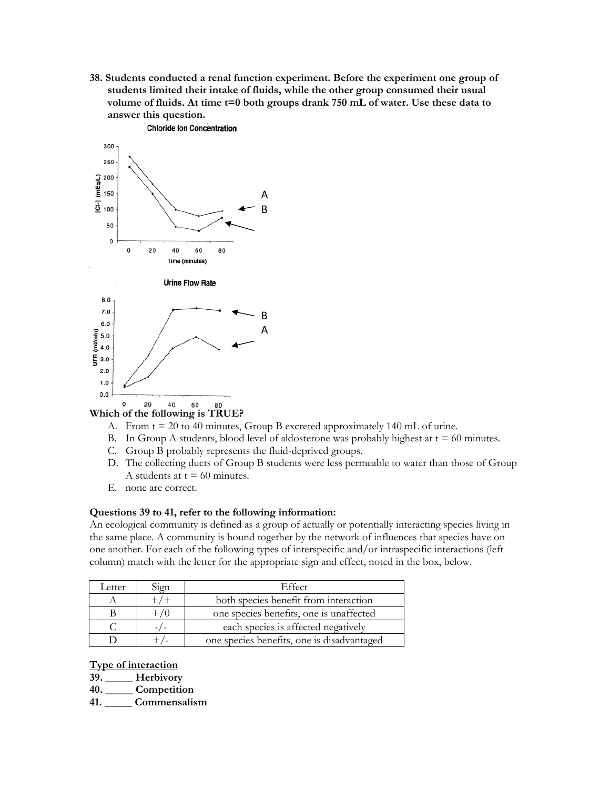**38. Students conducted a renal function experiment. Before the experiment one group of students limited their intake of fluids, while the other group consumed their usual volume of fluids. At time t=0 both groups drank 750 mL of water. Use these data to answer this question.** 



## **Which of the following is TRUE?**

- A. From t = 20 to 40 minutes, Group B excreted approximately 140 mL of urine.
- B. In Group A students, blood level of aldosterone was probably highest at  $t = 60$  minutes.
- C. Group B probably represents the fluid-deprived groups.
- D. The collecting ducts of Group B students were less permeable to water than those of Group A students at  $t = 60$  minutes.
- E. none are correct.

#### **Questions 39 to 41, refer to the following information:**

An ecological community is defined as a group of actually or potentially interacting species living in the same place. A community is bound together by the network of influences that species have on one another. For each of the following types of interspecific and/or intraspecific interactions (left column) match with the letter for the appropriate sign and effect, noted in the box, below.

| Letter | Sign | Effect                                     |  |
|--------|------|--------------------------------------------|--|
|        |      | both species benefit from interaction      |  |
|        |      | one species benefits, one is unaffected    |  |
|        |      | each species is affected negatively        |  |
|        |      | one species benefits, one is disadvantaged |  |

#### **Type of interaction**

**39. \_\_\_\_\_ Herbivory** 

**40. \_\_\_\_\_ Competition** 

**41. \_\_\_\_\_ Commensalism**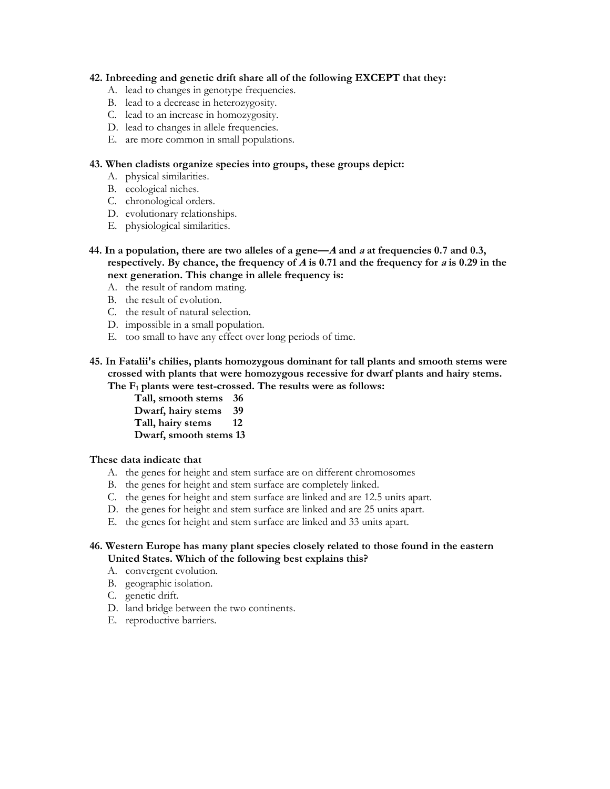#### **42. Inbreeding and genetic drift share all of the following EXCEPT that they:**

- A. lead to changes in genotype frequencies.
- B. lead to a decrease in heterozygosity.
- C. lead to an increase in homozygosity.
- D. lead to changes in allele frequencies.
- E. are more common in small populations.

## **43. When cladists organize species into groups, these groups depict:**

- A. physical similarities.
- B. ecological niches.
- C. chronological orders.
- D. evolutionary relationships.
- E. physiological similarities.
- **44. In a population, there are two alleles of a gene—A and a at frequencies 0.7 and 0.3, respectively. By chance, the frequency of A is 0.71 and the frequency for a is 0.29 in the next generation. This change in allele frequency is:** 
	- A. the result of random mating.
	- B. the result of evolution.
	- C. the result of natural selection.
	- D. impossible in a small population.
	- E. too small to have any effect over long periods of time.

### **45. In [Fatalii's chilies](http://www.g6csy.net/chile/sources.html), plants homozygous dominant for tall plants and smooth stems were crossed with plants that were homozygous recessive for dwarf plants and hairy stems. The F1 plants were test-crossed. The results were as follows:**

**Tall, smooth stems 36 Dwarf, hairy stems 39 Tall, hairy stems 12 Dwarf, smooth stems 13** 

## **These data indicate that**

- A. the genes for height and stem surface are on different chromosomes
- B. the genes for height and stem surface are completely linked.
- C. the genes for height and stem surface are linked and are 12.5 units apart.
- D. the genes for height and stem surface are linked and are 25 units apart.
- E. the genes for height and stem surface are linked and 33 units apart.

## **46. Western Europe has many plant species closely related to those found in the eastern United States. Which of the following best explains this?**

- A. convergent evolution.
- B. geographic isolation.
- C. genetic drift.
- D. land bridge between the two continents.
- E. reproductive barriers.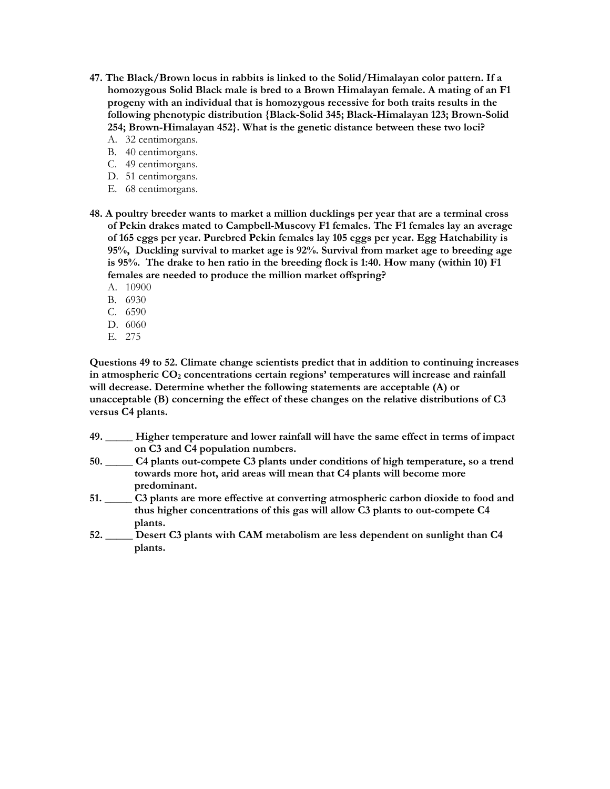- **47. The Black/Brown locus in rabbits is linked to the Solid/Himalayan color pattern. If a homozygous Solid Black male is bred to a Brown Himalayan female. A mating of an F1 progeny with an individual that is homozygous recessive for both traits results in the following phenotypic distribution {Black-Solid 345; Black-Himalayan 123; Brown-Solid 254; Brown-Himalayan 452}. What is the genetic distance between these two loci?** 
	- A. 32 centimorgans.
	- B. 40 centimorgans.
	- C. 49 centimorgans.
	- D. 51 centimorgans.
	- E. 68 centimorgans.
- **48. A poultry breeder wants to market a million ducklings per year that are a terminal cross of Pekin drakes mated to Campbell-Muscovy F1 females. The F1 females lay an average of 165 eggs per year. Purebred Pekin females lay 105 eggs per year. Egg Hatchability is 95%, Duckling survival to market age is 92%. Survival from market age to breeding age is 95%. The drake to hen ratio in the breeding flock is 1:40. How many (within 10) F1 females are needed to produce the million market offspring?** 
	- A. 10900
	- B. 6930
	- C. 6590
	- D. 6060
	- E. 275

**Questions 49 to 52. Climate change scientists predict that in addition to continuing increases**  in atmospheric CO<sub>2</sub> concentrations certain regions' temperatures will increase and rainfall **will decrease. Determine whether the following statements are acceptable (A) or unacceptable (B) concerning the effect of these changes on the relative distributions of C3 versus C4 plants.**

- **49. \_\_\_\_\_ Higher temperature and lower rainfall will have the same effect in terms of impact on C3 and C4 population numbers.**
- **50. \_\_\_\_\_ C4 plants out-compete C3 plants under conditions of high temperature, so a trend towards more hot, arid areas will mean that C4 plants will become more predominant.**
- **51. \_\_\_\_\_ C3 plants are more effective at converting atmospheric carbon dioxide to food and thus higher concentrations of this gas will allow C3 plants to out-compete C4 plants.**
- **52. \_\_\_\_\_ Desert C3 plants with CAM metabolism are less dependent on sunlight than C4 plants.**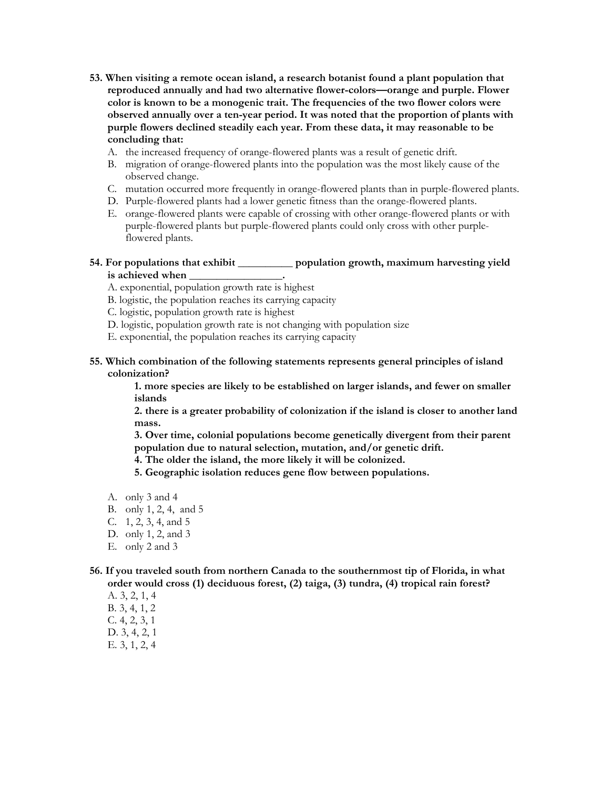- **53. When visiting a remote ocean island, a research botanist found a plant population that reproduced annually and had two alternative flower-colors—orange and purple. Flower color is known to be a monogenic trait. The frequencies of the two flower colors were observed annually over a ten-year period. It was noted that the proportion of plants with purple flowers declined steadily each year. From these data, it may reasonable to be concluding that:** 
	- A. the increased frequency of orange-flowered plants was a result of genetic drift.
	- B. migration of orange-flowered plants into the population was the most likely cause of the observed change.
	- C. mutation occurred more frequently in orange-flowered plants than in purple-flowered plants.
	- D. Purple-flowered plants had a lower genetic fitness than the orange-flowered plants.
	- E. orange-flowered plants were capable of crossing with other orange-flowered plants or with purple-flowered plants but purple-flowered plants could only cross with other purpleflowered plants.

## **54. For populations that exhibit \_\_\_\_\_\_\_\_\_\_ population growth, maximum harvesting yield**  is achieved when \_\_\_\_\_\_\_\_\_\_\_\_\_\_\_\_\_\_.

- A. exponential, population growth rate is highest
- B. logistic, the population reaches its carrying capacity
- C. logistic, population growth rate is highest
- D. logistic, population growth rate is not changing with population size
- E. exponential, the population reaches its carrying capacity
- **55. Which combination of the following statements represents general principles of island colonization?**

**1. more species are likely to be established on larger islands, and fewer on smaller islands** 

**2. there is a greater probability of colonization if the island is closer to another land mass.** 

**3. Over time, colonial populations become genetically divergent from their parent population due to natural selection, mutation, and/or genetic drift.** 

- **4. The older the island, the more likely it will be colonized.**
- **5. Geographic isolation reduces gene flow between populations.**
- A. only 3 and 4
- B. only 1, 2, 4, and 5
- C. 1, 2, 3, 4, and 5
- D. only 1, 2, and 3
- E. only 2 and 3

#### **56. If you traveled south from northern Canada to the southernmost tip of Florida, in what order would cross (1) deciduous forest, (2) taiga, (3) tundra, (4) tropical rain forest?**

- A. 3, 2, 1, 4
- B. 3, 4, 1, 2
- C. 4, 2, 3, 1
- D. 3, 4, 2, 1
- E. 3, 1, 2, 4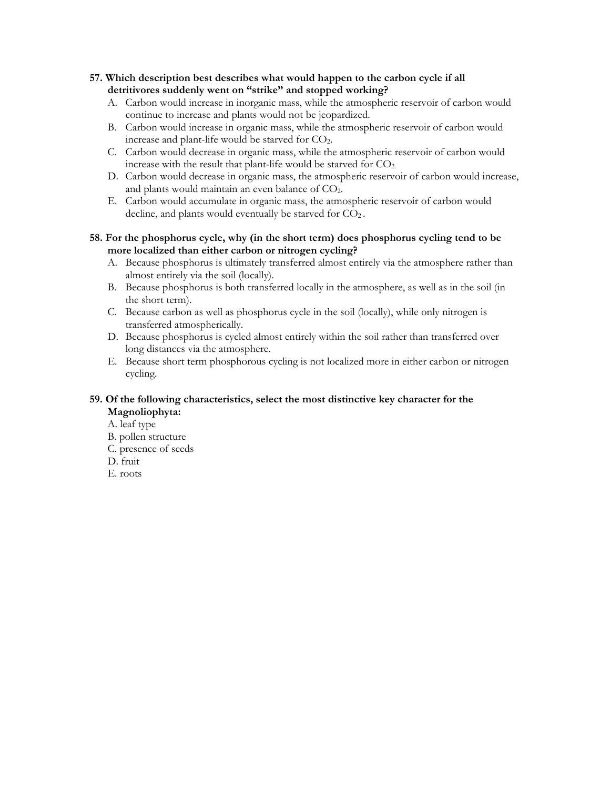- **57. Which description best describes what would happen to the carbon cycle if all detritivores suddenly went on "strike" and stopped working?** 
	- A. Carbon would increase in inorganic mass, while the atmospheric reservoir of carbon would continue to increase and plants would not be jeopardized.
	- B. Carbon would increase in organic mass, while the atmospheric reservoir of carbon would increase and plant-life would be starved for CO<sub>2</sub>.
	- C. Carbon would decrease in organic mass, while the atmospheric reservoir of carbon would increase with the result that plant-life would be starved for  $CO<sub>2</sub>$ .
	- D. Carbon would decrease in organic mass, the atmospheric reservoir of carbon would increase, and plants would maintain an even balance of  $CO<sub>2</sub>$ .
	- E. Carbon would accumulate in organic mass, the atmospheric reservoir of carbon would decline, and plants would eventually be starved for  $CO<sub>2</sub>$ .
- **58. For the phosphorus cycle, why (in the short term) does phosphorus cycling tend to be more localized than either carbon or nitrogen cycling?** 
	- A. Because phosphorus is ultimately transferred almost entirely via the atmosphere rather than almost entirely via the soil (locally).
	- B. Because phosphorus is both transferred locally in the atmosphere, as well as in the soil (in the short term).
	- C. Because carbon as well as phosphorus cycle in the soil (locally), while only nitrogen is transferred atmospherically.
	- D. Because phosphorus is cycled almost entirely within the soil rather than transferred over long distances via the atmosphere.
	- E. Because short term phosphorous cycling is not localized more in either carbon or nitrogen cycling.

## **59. Of the following characteristics, select the most distinctive key character for the Magnoliophyta:**

- A. leaf type
- B. pollen structure
- C. presence of seeds
- D. fruit
- E. roots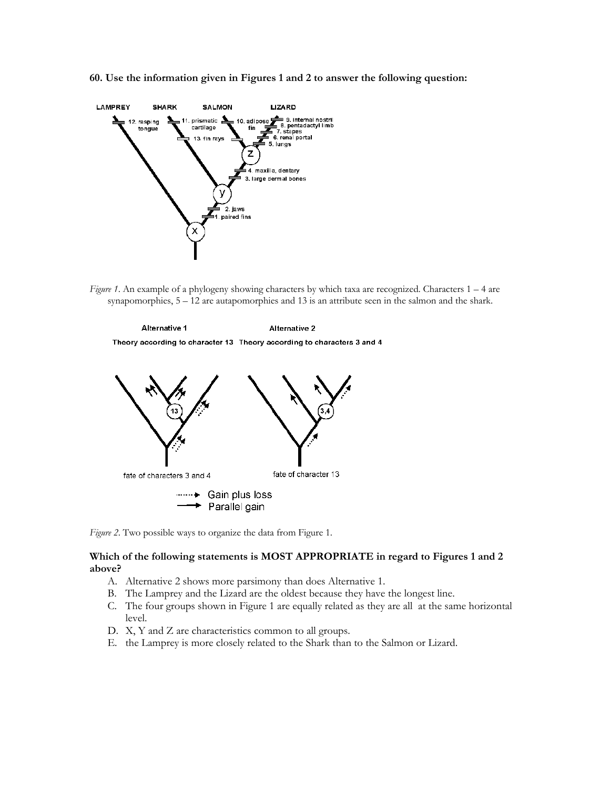**60. Use the information given in Figures 1 and 2 to answer the following question:** 



*Figure 1*. An example of a phylogeny showing characters by which taxa are recognized. Characters 1 – 4 are synapomorphies, 5 – 12 are autapomorphies and 13 is an attribute seen in the salmon and the shark.





*Figure 2*. Two possible ways to organize the data from Figure 1.

#### **Which of the following statements is MOST APPROPRIATE in regard to Figures 1 and 2 above?**

- A. Alternative 2 shows more parsimony than does Alternative 1.
- B. The Lamprey and the Lizard are the oldest because they have the longest line.
- C. The four groups shown in Figure 1 are equally related as they are all at the same horizontal level.
- D. X, Y and Z are characteristics common to all groups.
- E. the Lamprey is more closely related to the Shark than to the Salmon or Lizard.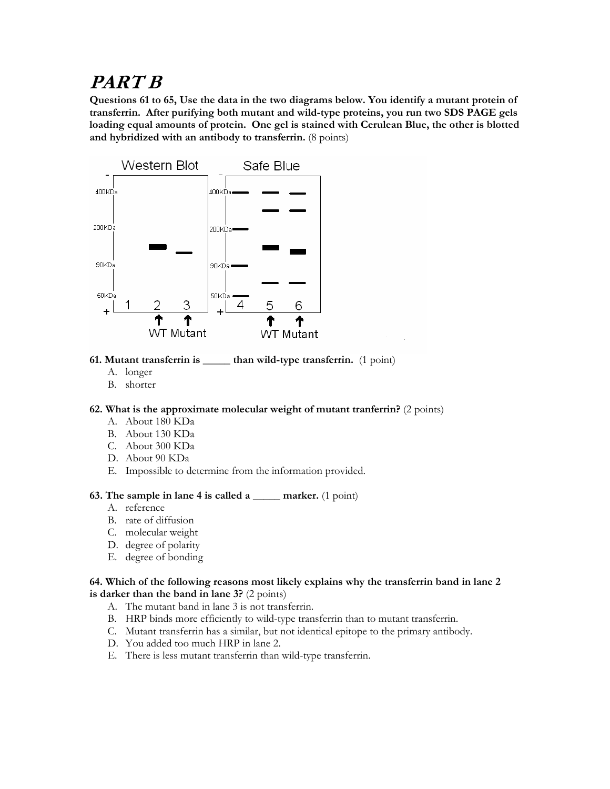# **PART B**

**Questions 61 to 65, Use the data in the two diagrams below. You identify a mutant protein of transferrin. After purifying both mutant and wild-type proteins, you run two SDS PAGE gels loading equal amounts of protein. One gel is stained with Cerulean Blue, the other is blotted and hybridized with an antibody to transferrin.** (8 points)



# **61. Mutant transferrin is \_\_\_\_\_ than wild-type transferrin.** (1 point)

- A. longer
- B. shorter

## **62. What is the approximate molecular weight of mutant tranferrin?** (2 points)

- A. About 180 KDa
- B. About 130 KDa
- C. About 300 KDa
- D. About 90 KDa
- E. Impossible to determine from the information provided.

## **63. The sample in lane 4 is called a \_\_\_\_\_ marker.** (1 point)

- A. reference
- B. rate of diffusion
- C. molecular weight
- D. degree of polarity
- E. degree of bonding

#### **64. Which of the following reasons most likely explains why the transferrin band in lane 2 is darker than the band in lane 3?** (2 points)

- A. The mutant band in lane 3 is not transferrin.
- B. HRP binds more efficiently to wild-type transferrin than to mutant transferrin.
- C. Mutant transferrin has a similar, but not identical epitope to the primary antibody.
- D. You added too much HRP in lane 2.
- E. There is less mutant transferrin than wild-type transferrin.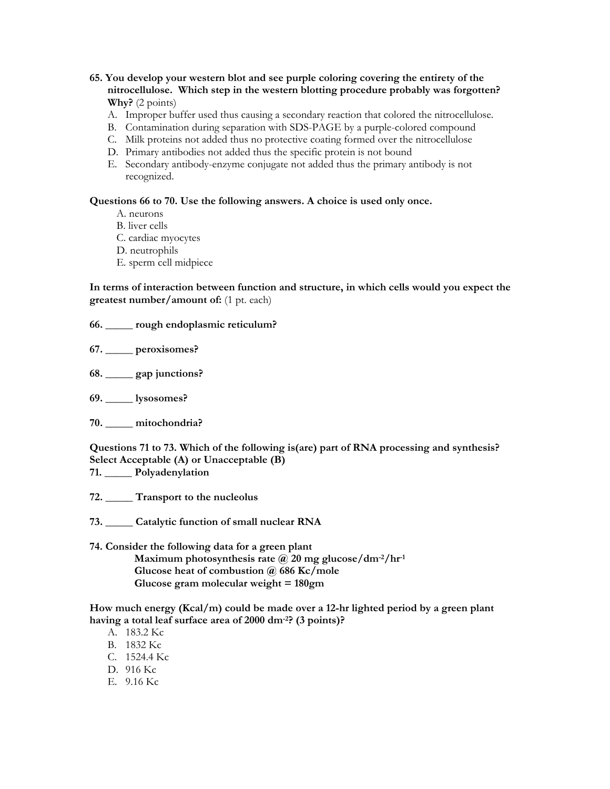**65. You develop your western blot and see purple coloring covering the entirety of the nitrocellulose. Which step in the western blotting procedure probably was forgotten? Why?** (2 points)

- A. Improper buffer used thus causing a secondary reaction that colored the nitrocellulose.
- B. Contamination during separation with SDS-PAGE by a purple-colored compound
- C. Milk proteins not added thus no protective coating formed over the nitrocellulose
- D. Primary antibodies not added thus the specific protein is not bound
- E. Secondary antibody-enzyme conjugate not added thus the primary antibody is not recognized.

#### **Questions 66 to 70. Use the following answers. A choice is used only once.**

- A. neurons
- B. liver cells
- C. cardiac myocytes
- D. neutrophils
- E. sperm cell midpiece

**In terms of interaction between function and structure, in which cells would you expect the greatest number/amount of:** (1 pt. each)

#### **66. \_\_\_\_\_ rough endoplasmic reticulum?**

- **67. \_\_\_\_\_ peroxisomes?**
- **68. \_\_\_\_\_ gap junctions?**
- **69. \_\_\_\_\_ lysosomes?**
- **70. \_\_\_\_\_ mitochondria?**

**Questions 71 to 73. Which of the following is(are) part of RNA processing and synthesis? Select Acceptable (A) or Unacceptable (B)** 

- **71. \_\_\_\_\_ Polyadenylation**
- **72. \_\_\_\_\_ Transport to the nucleolus**
- **73. \_\_\_\_\_ Catalytic function of small nuclear RNA**

#### **74. Consider the following data for a green plant Maximum photosynthesis rate @ 20 mg glucose/dm-2/hr-1 Glucose heat of combustion @ 686 Kc/mole Glucose gram molecular weight = 180gm**

**How much energy (Kcal/m) could be made over a 12-hr lighted period by a green plant having a total leaf surface area of 2000 dm-2? (3 points)?** 

- A. 183.2 Kc
- B. 1832 Kc
- C. 1524.4 Kc
- D. 916 Kc
- E. 9.16 Kc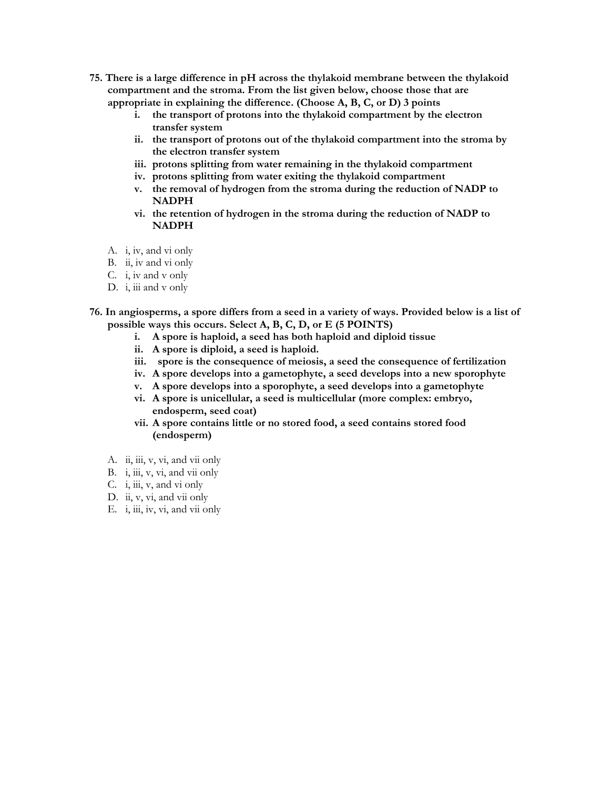- **75. There is a large difference in pH across the thylakoid membrane between the thylakoid compartment and the stroma. From the list given below, choose those that are appropriate in explaining the difference. (Choose A, B, C, or D) 3 points** 
	- **i. the transport of protons into the thylakoid compartment by the electron transfer system**
	- **ii. the transport of protons out of the thylakoid compartment into the stroma by the electron transfer system**
	- **iii. protons splitting from water remaining in the thylakoid compartment**
	- **iv. protons splitting from water exiting the thylakoid compartment**
	- **v. the removal of hydrogen from the stroma during the reduction of NADP to NADPH**
	- **vi. the retention of hydrogen in the stroma during the reduction of NADP to NADPH**
	- A. i, iv, and vi only
	- B. ii, iv and vi only
	- C. i, iv and v only
	- D. i, iii and v only
- **76. In angiosperms, a spore differs from a seed in a variety of ways. Provided below is a list of possible ways this occurs. Select A, B, C, D, or E (5 POINTS)** 
	- **i. A spore is haploid, a seed has both haploid and diploid tissue**
	- **ii. A spore is diploid, a seed is haploid.**
	- **iii. spore is the consequence of meiosis, a seed the consequence of fertilization**
	- **iv. A spore develops into a gametophyte, a seed develops into a new sporophyte**
	- **v. A spore develops into a sporophyte, a seed develops into a gametophyte**
	- **vi. A spore is unicellular, a seed is multicellular (more complex: embryo, endosperm, seed coat)**
	- **vii. A spore contains little or no stored food, a seed contains stored food (endosperm)**
	- A. ii, iii, v, vi, and vii only
	- B. i, iii, v, vi, and vii only
	- C. i, iii, v, and vi only
	- D. ii, v, vi, and vii only
	- E. i, iii, iv, vi, and vii only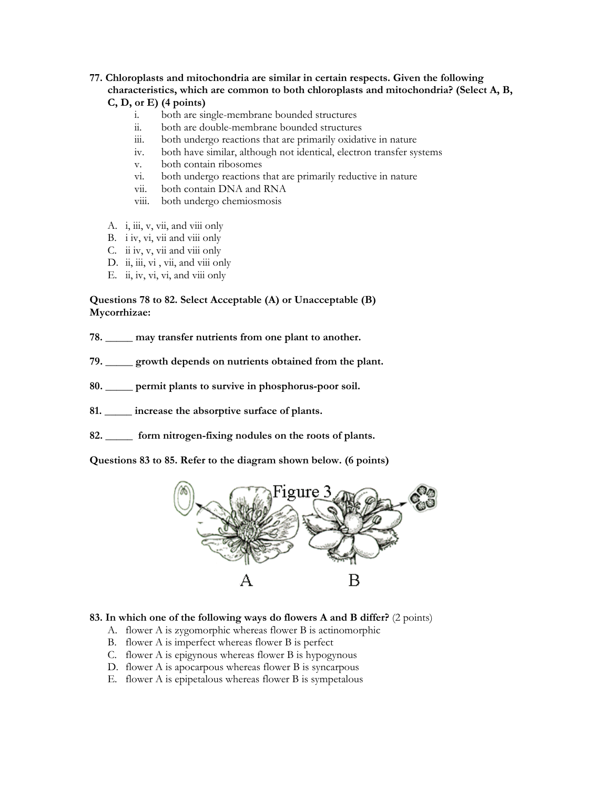# **77. Chloroplasts and mitochondria are similar in certain respects. Given the following characteristics, which are common to both chloroplasts and mitochondria? (Select A, B,**

- **C, D, or E) (4 points)** 
	- i. both are single-membrane bounded structures
	- ii. both are double-membrane bounded structures
	- iii. both undergo reactions that are primarily oxidative in nature
	- iv. both have similar, although not identical, electron transfer systems
	- v. both contain ribosomes
	- vi. both undergo reactions that are primarily reductive in nature
	- vii. both contain DNA and RNA
	- viii. both undergo chemiosmosis
- A. i, iii, v, vii, and viii only
- B. i iv, vi, vii and viii only
- C. ii iv, v, vii and viii only
- D. ii, iii, vi, vii, and viii only
- E. ii, iv, vi, vi, and viii only

## **Questions 78 to 82. Select Acceptable (A) or Unacceptable (B) Mycorrhizae:**

- **78. \_\_\_\_\_ may transfer nutrients from one plant to another.**
- **79. \_\_\_\_\_ growth depends on nutrients obtained from the plant.**
- **80. \_\_\_\_\_ permit plants to survive in phosphorus-poor soil.**
- **81. \_\_\_\_\_ increase the absorptive surface of plants.**
- **82. \_\_\_\_\_ form nitrogen-fixing nodules on the roots of plants.**

**Questions 83 to 85. Refer to the diagram shown below. (6 points)**



## **83. In which one of the following ways do flowers A and B differ?** (2 points)

- A. flower A is zygomorphic whereas flower B is actinomorphic
- B. flower A is imperfect whereas flower B is perfect
- C. flower A is epigynous whereas flower B is hypogynous
- D. flower A is apocarpous whereas flower B is syncarpous
- E. flower A is epipetalous whereas flower B is sympetalous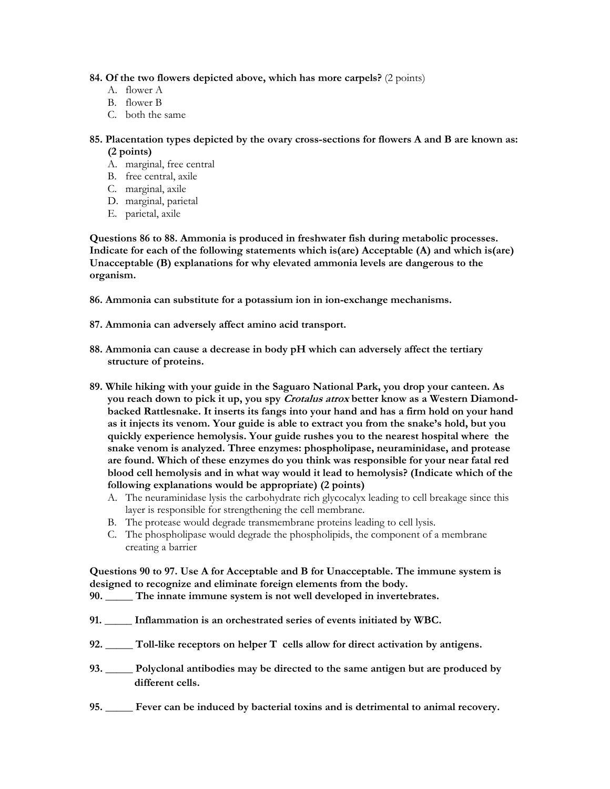**84. Of the two flowers depicted above, which has more carpels?** (2 points)

- A. flower A
- B. flower B
- C. both the same
- **85. Placentation types depicted by the ovary cross-sections for flowers A and B are known as: (2 points)**
	- A. marginal, free central
	- B. free central, axile
	- C. marginal, axile
	- D. marginal, parietal
	- E. parietal, axile

**Questions 86 to 88. Ammonia is produced in freshwater fish during metabolic processes. Indicate for each of the following statements which is(are) Acceptable (A) and which is(are) Unacceptable (B) explanations for why elevated ammonia levels are dangerous to the organism.** 

**86. Ammonia can substitute for a potassium ion in ion-exchange mechanisms.** 

- **87. Ammonia can adversely affect amino acid transport.**
- **88. Ammonia can cause a decrease in body pH which can adversely affect the tertiary structure of proteins.**
- **89. While hiking with your guide in the Saguaro National Park, you drop your canteen. As you reach down to pick it up, you spy Crotalus atrox better know as a Western Diamondbacked Rattlesnake. It inserts its fangs into your hand and has a firm hold on your hand as it injects its venom. Your guide is able to extract you from the snake's hold, but you quickly experience hemolysis. Your guide rushes you to the nearest hospital where the snake venom is analyzed. Three enzymes: phospholipase, neuraminidase, and protease are found. Which of these enzymes do you think was responsible for your near fatal red blood cell hemolysis and in what way would it lead to hemolysis? (Indicate which of the following explanations would be appropriate) (2 points)** 
	- A. [The neuraminidase lysis the carbohydrate rich glycocalyx leading to cell breakage since this](http://www.biology.arizona.edu/cell_bio/problem_sets/membranes/02t.html)  [layer is responsible for strengthening the cell membrane.](http://www.biology.arizona.edu/cell_bio/problem_sets/membranes/02t.html)
	- B. [The protease would degrade transmembrane proteins leading to cell lysis.](http://www.biology.arizona.edu/cell_bio/problem_sets/membranes/02t.html)
	- C. [The phospholipase would degrade the phospholipids, the component of a membrane](http://www.biology.arizona.edu/cell_bio/problem_sets/membranes/02c.html)  [creating a barrier](http://www.biology.arizona.edu/cell_bio/problem_sets/membranes/02c.html)

## **Questions 90 to 97. Use A for Acceptable and B for Unacceptable. The immune system is designed to recognize and eliminate foreign elements from the body.**

- **90. \_\_\_\_\_ The innate immune system is not well developed in invertebrates.**
- **91. \_\_\_\_\_ Inflammation is an orchestrated series of events initiated by WBC.**
- **92. \_\_\_\_\_ Toll-like receptors on helper T cells allow for direct activation by antigens.**
- **93. \_\_\_\_\_ Polyclonal antibodies may be directed to the same antigen but are produced by different cells.**
- **95. \_\_\_\_\_ Fever can be induced by bacterial toxins and is detrimental to animal recovery.**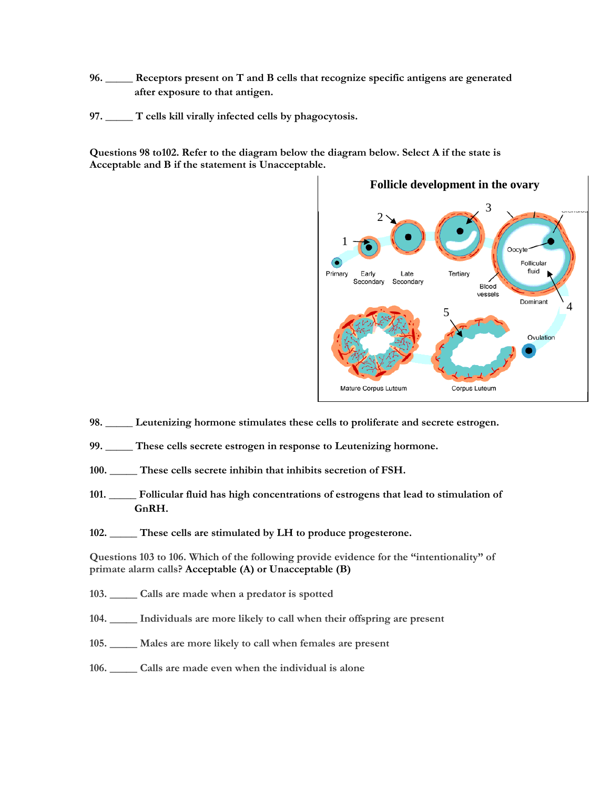- **96. \_\_\_\_\_ Receptors present on T and B cells that recognize specific antigens are generated after exposure to that antigen.**
- **97. \_\_\_\_\_ T cells kill virally infected cells by phagocytosis.**

**Questions 98 to102. Refer to the diagram below the diagram below. Select A if the state is Acceptable and B if the statement is Unacceptable.** 



**Follicle development in the ovary** 

- **98. \_\_\_\_\_ Leutenizing hormone stimulates these cells to proliferate and secrete estrogen.**
- **99. \_\_\_\_\_ These cells secrete estrogen in response to Leutenizing hormone.**
- **100. \_\_\_\_\_ These cells secrete inhibin that inhibits secretion of FSH.**
- **101. \_\_\_\_\_ Follicular fluid has high concentrations of estrogens that lead to stimulation of GnRH.**
- **102. \_\_\_\_\_ These cells are stimulated by LH to produce progesterone.**

**Questions 103 to 106. Which of the following provide evidence for the "intentionality" of primate alarm calls? Acceptable (A) or Unacceptable (B)** 

- **103. \_\_\_\_\_ Calls are made when a predator is spotted**
- **104. \_\_\_\_\_ Individuals are more likely to call when their offspring are present**
- **105. \_\_\_\_\_ Males are more likely to call when females are present**
- **106. \_\_\_\_\_ Calls are made even when the individual is alone**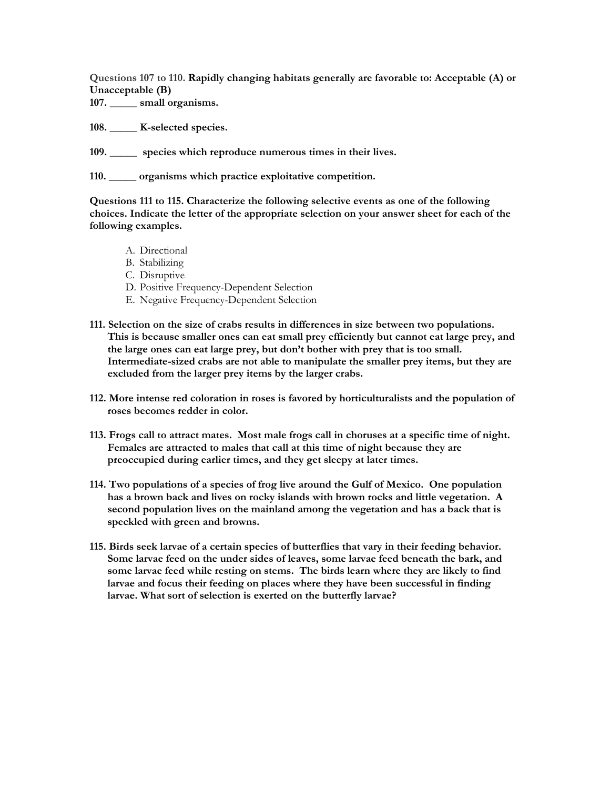**Questions 107 to 110. Rapidly changing habitats generally are favorable to: Acceptable (A) or Unacceptable (B)** 

**107. \_\_\_\_\_ small organisms.** 

**108. \_\_\_\_\_ K-selected species.** 

**109. \_\_\_\_\_ species which reproduce numerous times in their lives.** 

**110. \_\_\_\_\_ organisms which practice exploitative competition.** 

**Questions 111 to 115. Characterize the following selective events as one of the following choices. Indicate the letter of the appropriate selection on your answer sheet for each of the following examples.** 

- A. Directional
- B. Stabilizing
- C. Disruptive
- D. Positive Frequency-Dependent Selection
- E. Negative Frequency-Dependent Selection
- **111. Selection on the size of crabs results in differences in size between two populations. This is because smaller ones can eat small prey efficiently but cannot eat large prey, and the large ones can eat large prey, but don't bother with prey that is too small. Intermediate-sized crabs are not able to manipulate the smaller prey items, but they are excluded from the larger prey items by the larger crabs.**
- **112. More intense red coloration in roses is favored by horticulturalists and the population of roses becomes redder in color.**
- **113. Frogs call to attract mates. Most male frogs call in choruses at a specific time of night. Females are attracted to males that call at this time of night because they are preoccupied during earlier times, and they get sleepy at later times.**
- **114. Two populations of a species of frog live around the Gulf of Mexico. One population has a brown back and lives on rocky islands with brown rocks and little vegetation. A second population lives on the mainland among the vegetation and has a back that is speckled with green and browns.**
- **115. Birds seek larvae of a certain species of butterflies that vary in their feeding behavior. Some larvae feed on the under sides of leaves, some larvae feed beneath the bark, and some larvae feed while resting on stems. The birds learn where they are likely to find larvae and focus their feeding on places where they have been successful in finding larvae. What sort of selection is exerted on the butterfly larvae?**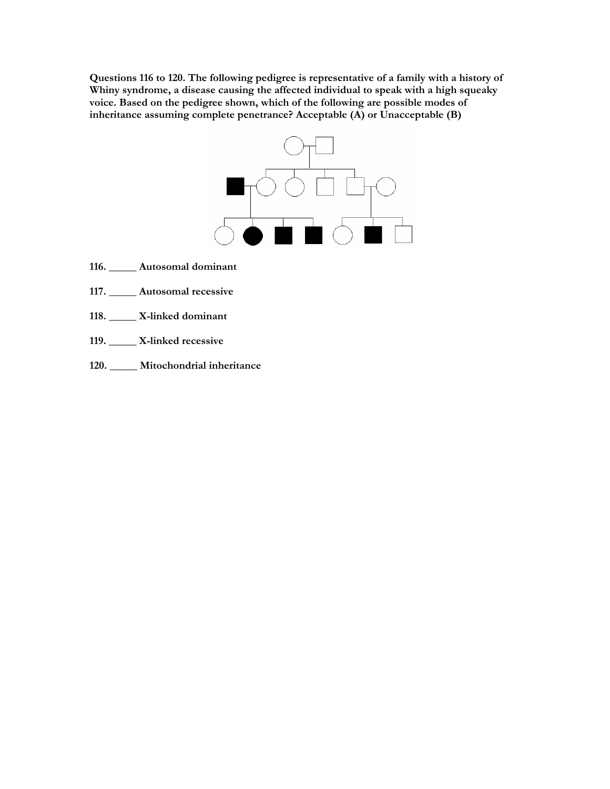**Questions 116 to 120. The following pedigree is representative of a family with a history of Whiny syndrome, a disease causing the affected individual to speak with a high squeaky voice. Based on the pedigree shown, which of the following are possible modes of inheritance assuming complete penetrance? Acceptable (A) or Unacceptable (B)** 



- **116. \_\_\_\_\_ Autosomal dominant**
- **117. \_\_\_\_\_ Autosomal recessive**
- **118. \_\_\_\_\_ X-linked dominant**
- **119. \_\_\_\_\_ X-linked recessive**
- **120. \_\_\_\_\_ Mitochondrial inheritance**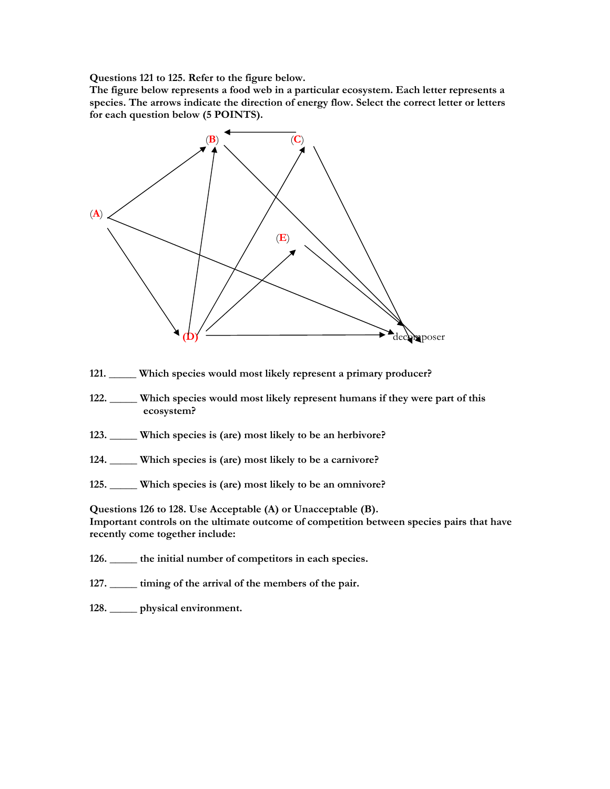**Questions 121 to 125. Refer to the figure below.** 

**The figure below represents a food web in a particular ecosystem. Each letter represents a species. The arrows indicate the direction of energy flow. Select the correct letter or letters for each question below (5 POINTS).** 



- **121. \_\_\_\_\_ Which species would most likely represent a primary producer?**
- **122. \_\_\_\_\_ Which species would most likely represent humans if they were part of this ecosystem?**
- **123. \_\_\_\_\_ Which species is (are) most likely to be an herbivore?**
- **124. \_\_\_\_\_ Which species is (are) most likely to be a carnivore?**
- **125. \_\_\_\_\_ Which species is (are) most likely to be an omnivore?**

**Questions 126 to 128. Use Acceptable (A) or Unacceptable (B). Important controls on the ultimate outcome of competition between species pairs that have recently come together include:** 

- **126. \_\_\_\_\_ the initial number of competitors in each species.**
- **127. \_\_\_\_\_ timing of the arrival of the members of the pair.**
- **128. \_\_\_\_\_ physical environment.**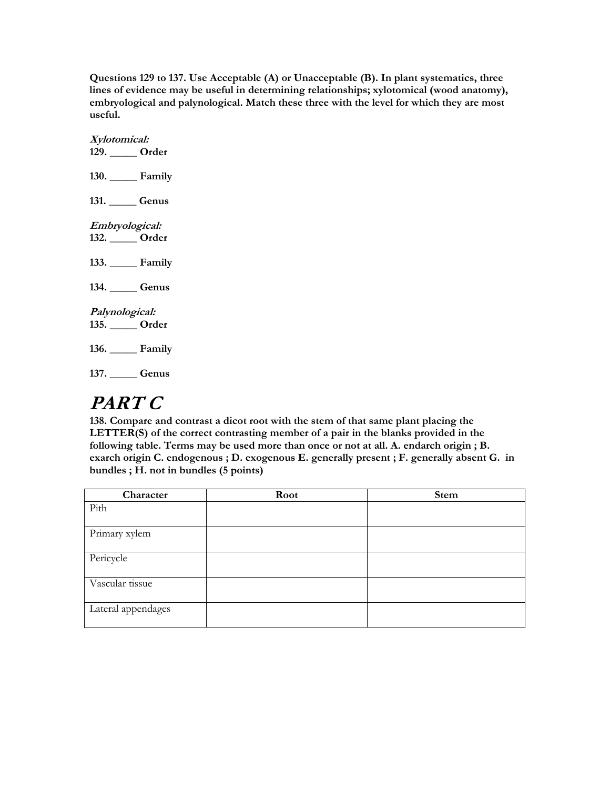**Questions 129 to 137. Use Acceptable (A) or Unacceptable (B). In plant systematics, three lines of evidence may be useful in determining relationships; xylotomical (wood anatomy), embryological and palynological. Match these three with the level for which they are most useful.** 

**Xylotomical: 129. \_\_\_\_\_ Order 130. \_\_\_\_\_ Family 131. \_\_\_\_\_ Genus Embryological: 132. \_\_\_\_\_ Order 133. \_\_\_\_\_ Family 134. \_\_\_\_\_ Genus Palynological: 135. \_\_\_\_\_ Order 136. \_\_\_\_\_ Family 137. \_\_\_\_\_ Genus** 

# **PART C**

**138. Compare and contrast a dicot root with the stem of that same plant placing the LETTER(S) of the correct contrasting member of a pair in the blanks provided in the following table. Terms may be used more than once or not at all. A. endarch origin ; B. exarch origin C. endogenous ; D. exogenous E. generally present ; F. generally absent G. in bundles ; H. not in bundles (5 points)**

| Character          | Root | <b>Stem</b> |
|--------------------|------|-------------|
| Pith               |      |             |
|                    |      |             |
| Primary xylem      |      |             |
|                    |      |             |
| Pericycle          |      |             |
|                    |      |             |
| Vascular tissue    |      |             |
|                    |      |             |
| Lateral appendages |      |             |
|                    |      |             |